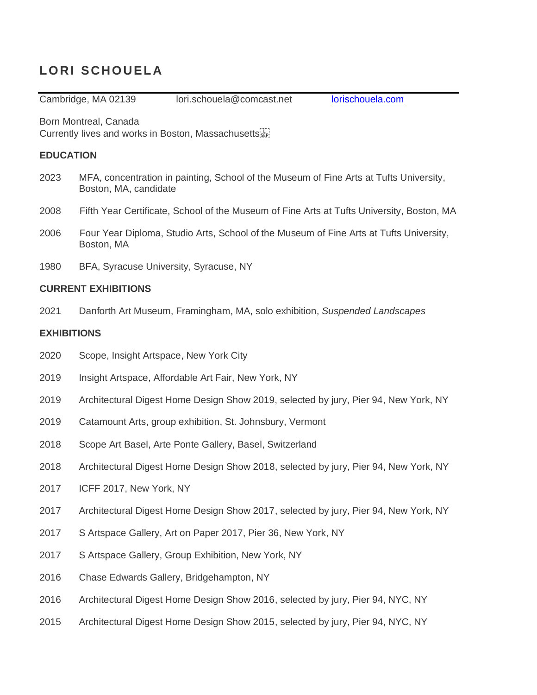# **LO RI SCHO UELA**

Cambridge, MA 02139 lori.schouela@comcast.net [lorischouela.com](http://www.lorischouela.com/)

Born Montreal, Canada

Currently lives and works in Boston, Massachusetts

## **EDUCATION**

- 2023 MFA, concentration in painting, School of the Museum of Fine Arts at Tufts University, Boston, MA, candidate
- 2008 Fifth Year Certificate, School of the Museum of Fine Arts at Tufts University, Boston, MA
- 2006 Four Year Diploma, Studio Arts, School of the Museum of Fine Arts at Tufts University, Boston, MA
- 1980 BFA, Syracuse University, Syracuse, NY

## **CURRENT EXHIBITIONS**

2021 Danforth Art Museum, Framingham, MA, solo exhibition, *Suspended Landscapes*

## **EXHIBITIONS**

- 2020 Scope, Insight Artspace, New York City
- 2019 Insight Artspace, Affordable Art Fair, New York, NY
- 2019 Architectural Digest Home Design Show 2019, selected by jury, Pier 94, New York, NY
- 2019 Catamount Arts, group exhibition, St. Johnsbury, Vermont
- 2018 Scope Art Basel, Arte Ponte Gallery, Basel, Switzerland
- 2018 Architectural Digest Home Design Show 2018, selected by jury, Pier 94, New York, NY
- 2017 ICFF 2017, New York, NY
- 2017 Architectural Digest Home Design Show 2017, selected by jury, Pier 94, New York, NY
- 2017 S Artspace Gallery, Art on Paper 2017, Pier 36, New York, NY
- 2017 S Artspace Gallery, Group Exhibition, New York, NY
- 2016 Chase Edwards Gallery, Bridgehampton, NY
- 2016 Architectural Digest Home Design Show 2016, selected by jury, Pier 94, NYC, NY
- 2015 Architectural Digest Home Design Show 2015, selected by jury, Pier 94, NYC, NY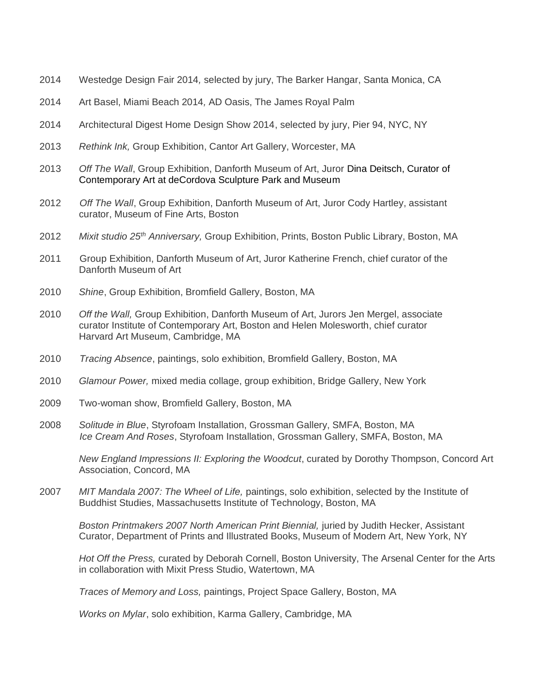- 2014 Westedge Design Fair 2014*,* selected by jury, The Barker Hangar, Santa Monica, CA
- 2014 Art Basel, Miami Beach 2014*,* AD Oasis, The James Royal Palm
- 2014 Architectural Digest Home Design Show 2014, selected by jury, Pier 94, NYC, NY
- 2013 *Rethink Ink,* Group Exhibition, Cantor Art Gallery, Worcester, MA
- 2013 *Off The Wall*, Group Exhibition, Danforth Museum of Art, Juror Dina Deitsch, Curator of Contemporary Art at deCordova Sculpture Park and Museum
- 2012 *Off The Wall*, Group Exhibition, Danforth Museum of Art, Juror Cody Hartley, assistant curator, Museum of Fine Arts, Boston
- 2012 *Mixit studio 25th Anniversary,* Group Exhibition, Prints, Boston Public Library, Boston, MA
- 2011 Group Exhibition, Danforth Museum of Art, Juror Katherine French, chief curator of the Danforth Museum of Art
- 2010 *Shine*, Group Exhibition, Bromfield Gallery, Boston, MA
- 2010 *Off the Wall,* Group Exhibition, Danforth Museum of Art, Jurors Jen Mergel, associate curator Institute of Contemporary Art, Boston and Helen Molesworth, chief curator Harvard Art Museum, Cambridge, MA
- 2010 *Tracing Absence*, paintings, solo exhibition, Bromfield Gallery, Boston, MA
- 2010 *Glamour Power,* mixed media collage, group exhibition, Bridge Gallery, New York
- 2009 Two-woman show, Bromfield Gallery, Boston, MA
- 2008 *Solitude in Blue*, Styrofoam Installation, Grossman Gallery, SMFA, Boston, MA *Ice Cream And Roses*, Styrofoam Installation, Grossman Gallery, SMFA, Boston, MA

*New England Impressions II: Exploring the Woodcut*, curated by Dorothy Thompson, Concord Art Association, Concord, MA

2007 *MIT Mandala 2007: The Wheel of Life,* paintings, solo exhibition, selected by the Institute of Buddhist Studies, Massachusetts Institute of Technology, Boston, MA

*Boston Printmakers 2007 North American Print Biennial,* juried by Judith Hecker, Assistant Curator, Department of Prints and Illustrated Books, Museum of Modern Art, New York, NY

*Hot Off the Press,* curated by Deborah Cornell, Boston University, The Arsenal Center for the Arts in collaboration with Mixit Press Studio, Watertown, MA

*Traces of Memory and Loss,* paintings, Project Space Gallery, Boston, MA

*Works on Mylar*, solo exhibition, Karma Gallery, Cambridge, MA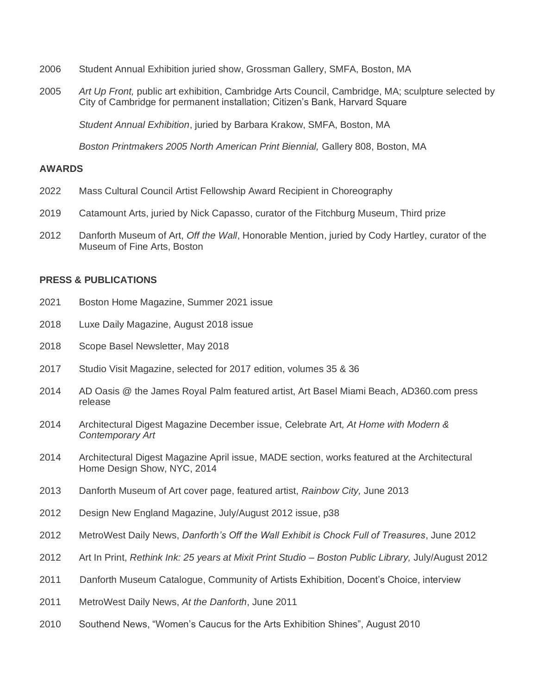- 2006 Student Annual Exhibition juried show, Grossman Gallery, SMFA, Boston, MA
- 2005 *Art Up Front,* public art exhibition, Cambridge Arts Council, Cambridge, MA; sculpture selected by City of Cambridge for permanent installation; Citizen's Bank, Harvard Square

*Student Annual Exhibition*, juried by Barbara Krakow, SMFA, Boston, MA

*Boston Printmakers 2005 North American Print Biennial,* Gallery 808, Boston, MA

### **AWARDS**

- 2022 Mass Cultural Council Artist Fellowship Award Recipient in Choreography
- 2019 Catamount Arts, juried by Nick Capasso, curator of the Fitchburg Museum, Third prize
- 2012 Danforth Museum of Art, *Off the Wall*, Honorable Mention, juried by Cody Hartley, curator of the Museum of Fine Arts, Boston

### **PRESS & PUBLICATIONS**

- 2021 Boston Home Magazine, Summer 2021 issue
- 2018 Luxe Daily Magazine, August 2018 issue
- 2018 Scope Basel Newsletter, May 2018
- 2017 Studio Visit Magazine, selected for 2017 edition, volumes 35 & 36
- 2014 AD Oasis @ the James Royal Palm featured artist, Art Basel Miami Beach, AD360.com press release
- 2014 Architectural Digest Magazine December issue, Celebrate Art*, At Home with Modern & Contemporary Art*
- 2014 Architectural Digest Magazine April issue, MADE section, works featured at the Architectural Home Design Show, NYC, 2014
- 2013 Danforth Museum of Art cover page, featured artist, *Rainbow City,* June 2013
- 2012 Design New England Magazine, July/August 2012 issue, p38
- 2012 MetroWest Daily News, *Danforth's Off the Wall Exhibit is Chock Full of Treasures*, June 2012
- 2012 Art In Print, *Rethink Ink: 25 years at Mixit Print Studio – Boston Public Library,* July/August 2012
- 2011 Danforth Museum Catalogue, Community of Artists Exhibition, Docent's Choice, interview
- 2011 MetroWest Daily News, *At the Danforth*, June 2011
- 2010 Southend News, "Women's Caucus for the Arts Exhibition Shines", August 2010